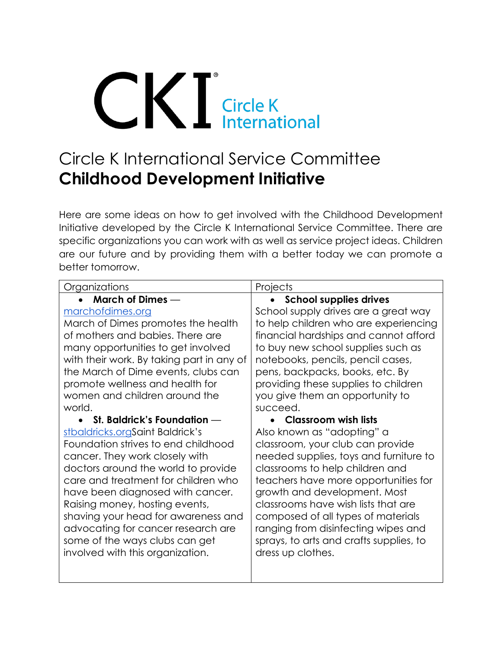# CK Circle K<br>International

# Circle K International Service Committee **Childhood Development Initiative**

Here are some ideas on how to get involved with the Childhood Development Initiative developed by the Circle K International Service Committee. There are specific organizations you can work with as well as service project ideas. Children are our future and by providing them with a better today we can promote a better tomorrow.

| Organizations                             | Projects                                |
|-------------------------------------------|-----------------------------------------|
| <b>March of Dimes —</b>                   | <b>School supplies drives</b>           |
| marchofdimes.org                          | School supply drives are a great way    |
| March of Dimes promotes the health        | to help children who are experiencing   |
| of mothers and babies. There are          | financial hardships and cannot afford   |
| many opportunities to get involved        | to buy new school supplies such as      |
| with their work. By taking part in any of | notebooks, pencils, pencil cases,       |
| the March of Dime events, clubs can       | pens, backpacks, books, etc. By         |
| promote wellness and health for           | providing these supplies to children    |
| women and children around the             | you give them an opportunity to         |
| world.                                    | succeed.                                |
| • St. Baldrick's Foundation $-$           | Classroom wish lists                    |
| stbaldricks.orgSaint Baldrick's           | Also known as "adopting" a              |
| Foundation strives to end childhood       | classroom, your club can provide        |
| cancer. They work closely with            | needed supplies, toys and furniture to  |
| doctors around the world to provide       | classrooms to help children and         |
| care and treatment for children who       | teachers have more opportunities for    |
| have been diagnosed with cancer.          | growth and development. Most            |
| Raising money, hosting events,            | classrooms have wish lists that are     |
| shaving your head for awareness and       | composed of all types of materials      |
| advocating for cancer research are        | ranging from disinfecting wipes and     |
| some of the ways clubs can get            | sprays, to arts and crafts supplies, to |
| involved with this organization.          | dress up clothes.                       |
|                                           |                                         |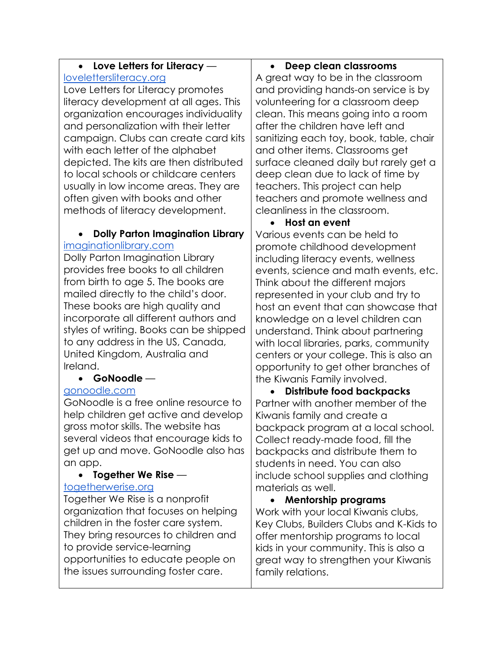#### • **Love Letters for Literacy**  lovelettersliteracy.org

Love Letters for Literacy promotes literacy development at all ages. This organization encourages individuality and personalization with their letter campaign. Clubs can create card kits with each letter of the alphabet depicted. The kits are then distributed to local schools or childcare centers usually in low income areas. They are often given with books and other methods of literacy development.

## • **Dolly Parton Imagination Library** [imaginationlibrary.com](https://imaginationlibrary.com/)

Dolly Parton Imagination Library provides free books to all children from birth to age 5. The books are mailed directly to the child's door. These books are high quality and incorporate all different authors and styles of writing. Books can be shipped to any address in the US, Canada, United Kingdom, Australia and Ireland.

# • **GoNoodle** —

# [gonoodle.com](https://www.gonoodle.com/)

GoNoodle is a free online resource to help children get active and develop gross motor skills. The website has several videos that encourage kids to get up and move. GoNoodle also has an app.

# • **Together We Rise** —

## [togetherwerise.org](https://www.togetherwerise.org/about-us/)

Together We Rise is a nonprofit organization that focuses on helping children in the foster care system. They bring resources to children and to provide service-learning opportunities to educate people on the issues surrounding foster care.

# • **Deep clean classrooms**

A great way to be in the classroom and providing hands-on service is by volunteering for a classroom deep clean. This means going into a room after the children have left and sanitizing each toy, book, table, chair and other items. Classrooms get surface cleaned daily but rarely get a deep clean due to lack of time by teachers. This project can help teachers and promote wellness and cleanliness in the classroom.

# • **Host an event**

Various events can be held to promote childhood development including literacy events, wellness events, science and math events, etc. Think about the different majors represented in your club and try to host an event that can showcase that knowledge on a level children can understand. Think about partnering with local libraries, parks, community centers or your college. This is also an opportunity to get other branches of the Kiwanis Family involved.

• **Distribute food backpacks** Partner with another member of the Kiwanis family and create a backpack program at a local school. Collect ready-made food, fill the backpacks and distribute them to students in need. You can also include school supplies and clothing materials as well.

• **Mentorship programs** Work with your local Kiwanis clubs, Key Clubs, Builders Clubs and K-Kids to offer mentorship programs to local kids in your community. This is also a great way to strengthen your Kiwanis family relations.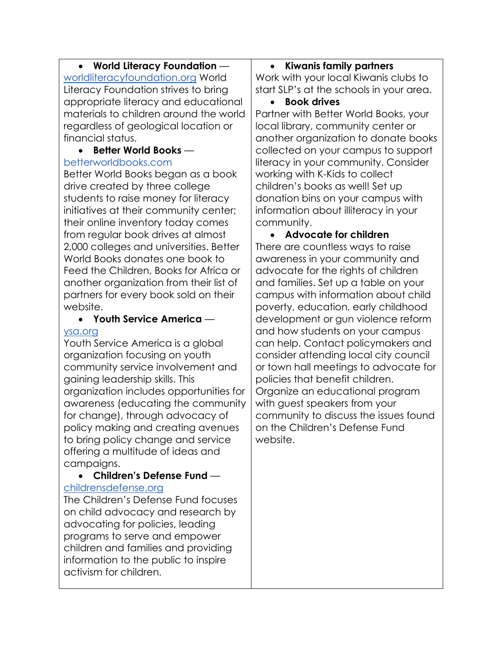# • **World Literacy Foundation** —

[worldliteracyfoundation.org](https://worldliteracyfoundation.org/) World Literacy Foundation strives to bring appropriate literacy and educational materials to children around the world regardless of geological location or financial status.

#### • **Better World Books** —

#### betterworldbooks.com

Better World Books began as a book drive created by three college students to raise money for literacy initiatives at their community center; their online inventory today comes from regular book drives at almost 2,000 colleges and universities. Better World Books donates one book to Feed the Children, Books for Africa or another organization from their list of partners for every book sold on their website.

#### • **Youth Service America** [ysa.org](https://ysa.org/)

Youth Service America is a global organization focusing on youth community service involvement and gaining leadership skills. This organization includes opportunities for awareness (educating the community for change), through advocacy of policy making and creating avenues to bring policy change and service offering a multitude of ideas and campaigns.

#### • **Children's Defense Fund** [childrensdefense.org](https://www.childrensdefense.org/)

The Children's Defense Fund focuses on child advocacy and research by advocating for policies, leading programs to serve and empower children and families and providing information to the public to inspire activism for children.

## • **Kiwanis family partners**

Work with your local Kiwanis clubs to start SLP's at the schools in your area.

• **Book drives**

Partner with Better World Books, your local library, community center or another organization to donate books collected on your campus to support literacy in your community. Consider working with K-Kids to collect children's books as well! Set up donation bins on your campus with information about illiteracy in your community.

• **Advocate for children** There are countless ways to raise awareness in your community and advocate for the rights of children and families. Set up a table on your campus with information about child poverty, education, early childhood development or gun violence reform and how students on your campus can help. Contact policymakers and consider attending local city council or town hall meetings to advocate for policies that benefit children. Organize an educational program with guest speakers from your community to discuss the issues found on the Children's Defense Fund website.